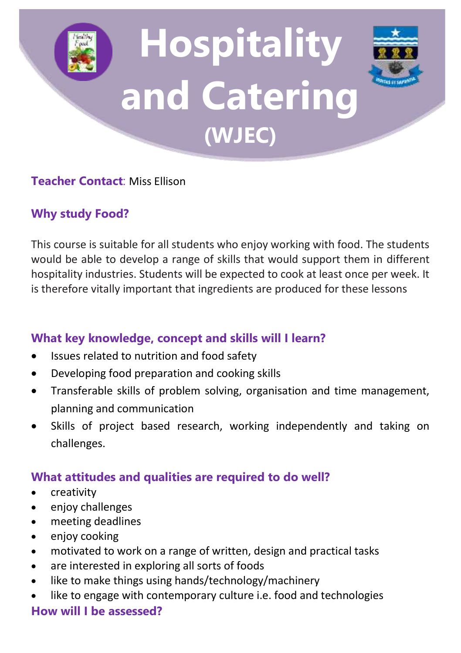# **Hospitality and Catering (WJEC)**



#### **Teacher Contact**: Miss Ellison

#### **Why study Food?**

This course is suitable for all students who enjoy working with food. The students would be able to develop a range of skills that would support them in different hospitality industries. Students will be expected to cook at least once per week. It is therefore vitally important that ingredients are produced for these lessons

#### **What key knowledge, concept and skills will I learn?**

- Issues related to nutrition and food safety
- Developing food preparation and cooking skills
- Transferable skills of problem solving, organisation and time management, planning and communication
- Skills of project based research, working independently and taking on challenges.

#### **What attitudes and qualities are required to do well?**

- creativity
- enjoy challenges
- meeting deadlines
- enjoy cooking
- motivated to work on a range of written, design and practical tasks
- are interested in exploring all sorts of foods
- like to make things using hands/technology/machinery
- like to engage with contemporary culture i.e. food and technologies

#### **How will I be assessed?**